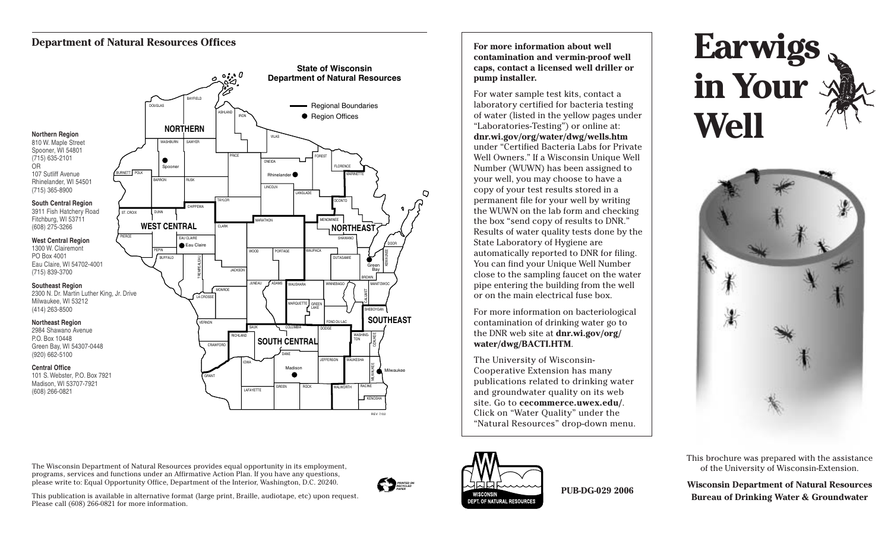## **Department of Natural Resources Offices**

OR



**For more information about well contamination and vermin-proof well caps, contact a licensed well driller or pump installer.**

For water sample test kits, contact a laboratory certified for bacteria testing of water (listed in the yellow pages under "Laboratories-Testing") or online at: **dnr.wi.gov/org/water/dwg/wells.htm** under "Certified Bacteria Labs for Private Well Owners." If a Wisconsin Unique Well Number (WUWN) has been assigned to your well, you may choose to have a copy of your test results stored in a permanent file for your well by writing the WUWN on the lab form and checking the box "send copy of results to DNR." Results of water quality tests done by the State Laboratory of Hygiene are automatically reported to DNR for filing. You can find your Unique Well Number close to the sampling faucet on the water pipe entering the building from the well or on the main electrical fuse box.

For more information on bacteriological contamination of drinking water go to the DNR web site at **dnr.wi.gov/org/ water/dwg/BACTI.HTM**.

The University of Wisconsin-Cooperative Extension has many publications related to drinking water and groundwater quality on its web site. Go to **cecommerce.uwex.edu/**. Click on "Water Quality" under the "Natural Resources" drop-down menu.

# **Earwigs in Your Well**



This brochure was prepared with the assistance of the University of Wisconsin-Extension.

**Wisconsin Department of Natural Resources Bureau of Drinking Water & Groundwater**

The Wisconsin Department of Natural Resources provides equal opportunity in its employment, programs, services and functions under an Affirmative Action Plan. If you have any questions, please write to: Equal Opportunity Office, Department of the Interior, Washington, D.C. 20240.

Please call (608) 266-0821 for more information.

This publication is available in alternative format (large print, Braille, audiotape, etc) upon request.





**PUB-DG-029 2006**